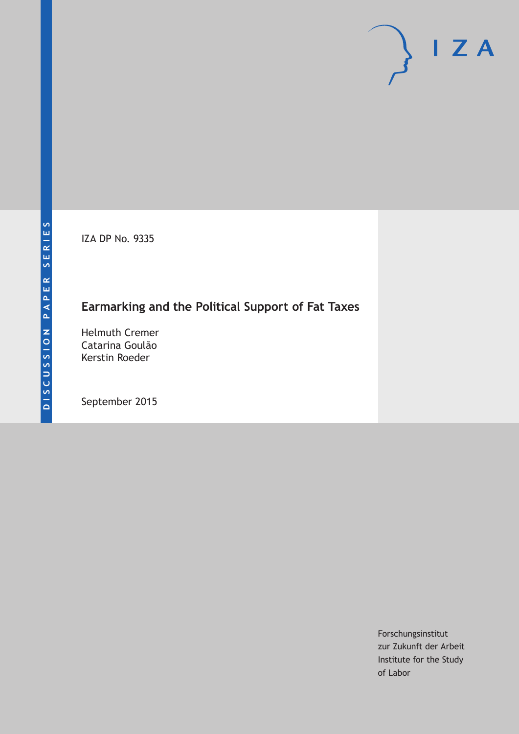IZA DP No. 9335

# **Earmarking and the Political Support of Fat Taxes**

Helmuth Cremer Catarina Goulão Kerstin Roeder

September 2015

Forschungsinstitut zur Zukunft der Arbeit Institute for the Study of Labor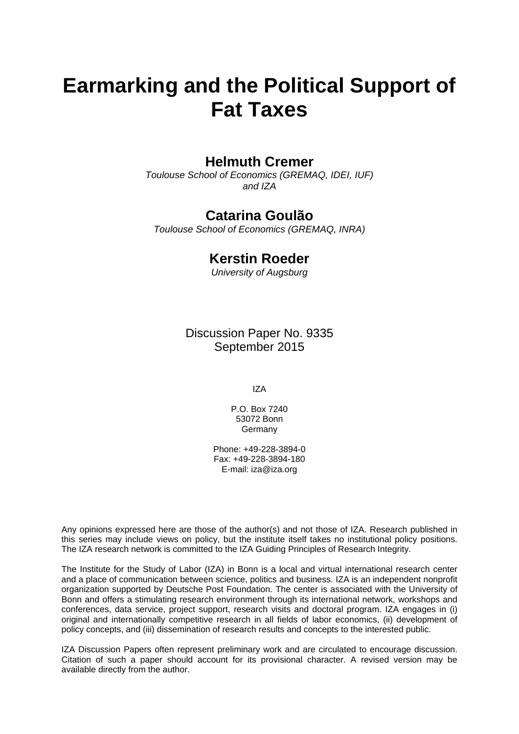# **Earmarking and the Political Support of Fat Taxes**

# **Helmuth Cremer**

*Toulouse School of Economics (GREMAQ, IDEI, IUF) and IZA* 

# **Catarina Goulão**

*Toulouse School of Economics (GREMAQ, INRA)* 

# **Kerstin Roeder**

*University of Augsburg*

Discussion Paper No. 9335 September 2015

IZA

P.O. Box 7240 53072 Bonn Germany

Phone: +49-228-3894-0 Fax: +49-228-3894-180 E-mail: iza@iza.org

Any opinions expressed here are those of the author(s) and not those of IZA. Research published in this series may include views on policy, but the institute itself takes no institutional policy positions. The IZA research network is committed to the IZA Guiding Principles of Research Integrity.

The Institute for the Study of Labor (IZA) in Bonn is a local and virtual international research center and a place of communication between science, politics and business. IZA is an independent nonprofit organization supported by Deutsche Post Foundation. The center is associated with the University of Bonn and offers a stimulating research environment through its international network, workshops and conferences, data service, project support, research visits and doctoral program. IZA engages in (i) original and internationally competitive research in all fields of labor economics, (ii) development of policy concepts, and (iii) dissemination of research results and concepts to the interested public.

IZA Discussion Papers often represent preliminary work and are circulated to encourage discussion. Citation of such a paper should account for its provisional character. A revised version may be available directly from the author.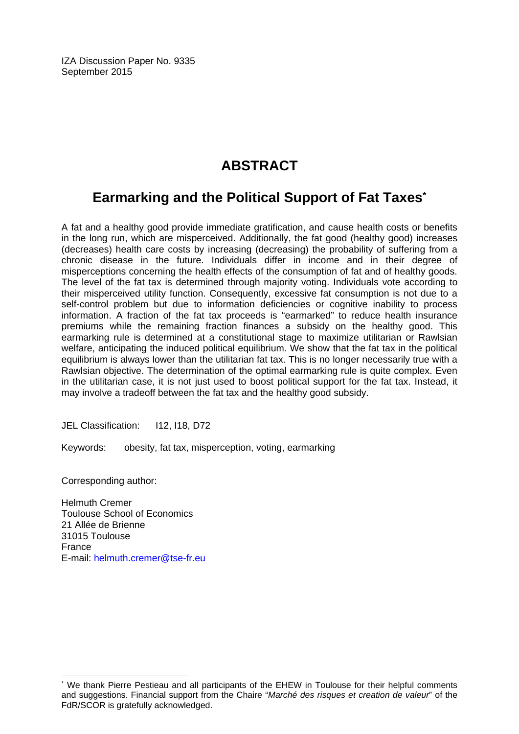IZA Discussion Paper No. 9335 September 2015

# **ABSTRACT**

# **Earmarking and the Political Support of Fat Taxes\***

A fat and a healthy good provide immediate gratification, and cause health costs or benefits in the long run, which are misperceived. Additionally, the fat good (healthy good) increases (decreases) health care costs by increasing (decreasing) the probability of suffering from a chronic disease in the future. Individuals differ in income and in their degree of misperceptions concerning the health effects of the consumption of fat and of healthy goods. The level of the fat tax is determined through majority voting. Individuals vote according to their misperceived utility function. Consequently, excessive fat consumption is not due to a self-control problem but due to information deficiencies or cognitive inability to process information. A fraction of the fat tax proceeds is "earmarked" to reduce health insurance premiums while the remaining fraction finances a subsidy on the healthy good. This earmarking rule is determined at a constitutional stage to maximize utilitarian or Rawlsian welfare, anticipating the induced political equilibrium. We show that the fat tax in the political equilibrium is always lower than the utilitarian fat tax. This is no longer necessarily true with a Rawlsian objective. The determination of the optimal earmarking rule is quite complex. Even in the utilitarian case, it is not just used to boost political support for the fat tax. Instead, it may involve a tradeoff between the fat tax and the healthy good subsidy.

JEL Classification: I12, I18, D72

Keywords: obesity, fat tax, misperception, voting, earmarking

Corresponding author:

 $\overline{a}$ 

Helmuth Cremer Toulouse School of Economics 21 Allée de Brienne 31015 Toulouse France E-mail: helmuth.cremer@tse-fr.eu

<sup>\*</sup> We thank Pierre Pestieau and all participants of the EHEW in Toulouse for their helpful comments and suggestions. Financial support from the Chaire "*Marché des risques et creation de valeur*" of the FdR/SCOR is gratefully acknowledged.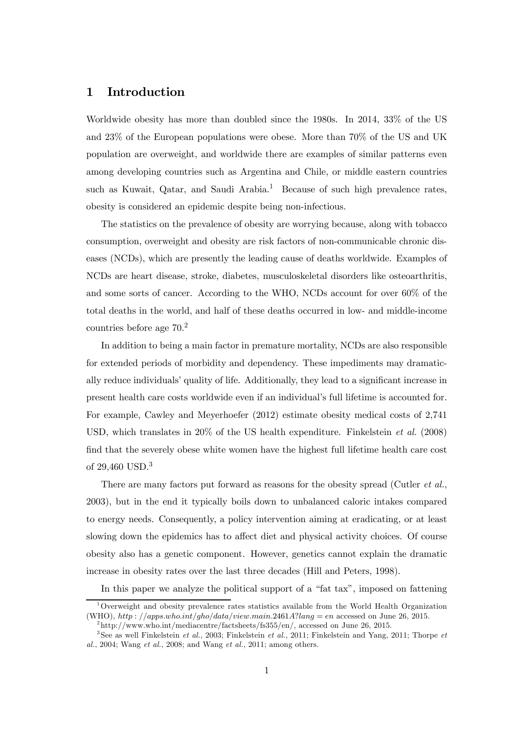### 1 Introduction

Worldwide obesity has more than doubled since the 1980s. In 2014, 33% of the US and 23% of the European populations were obese. More than 70% of the US and UK population are overweight, and worldwide there are examples of similar patterns even among developing countries such as Argentina and Chile, or middle eastern countries such as Kuwait, Qatar, and Saudi Arabia.<sup>1</sup> Because of such high prevalence rates, obesity is considered an epidemic despite being non-infectious.

The statistics on the prevalence of obesity are worrying because, along with tobacco consumption, overweight and obesity are risk factors of non-communicable chronic diseases (NCDs), which are presently the leading cause of deaths worldwide. Examples of NCDs are heart disease, stroke, diabetes, musculoskeletal disorders like osteoarthritis, and some sorts of cancer. According to the WHO, NCDs account for over 60% of the total deaths in the world, and half of these deaths occurred in low- and middle-income countries before age 70.2

In addition to being a main factor in premature mortality, NCDs are also responsible for extended periods of morbidity and dependency. These impediments may dramatically reduce individuals' quality of life. Additionally, they lead to a significant increase in present health care costs worldwide even if an individual's full lifetime is accounted for. For example, Cawley and Meyerhoefer (2012) estimate obesity medical costs of 2,741 USD, which translates in 20% of the US health expenditure. Finkelstein et al. (2008) find that the severely obese white women have the highest full lifetime health care cost of 29,460 USD.<sup>3</sup>

There are many factors put forward as reasons for the obesity spread (Cutler *et al.*, 2003), but in the end it typically boils down to unbalanced caloric intakes compared to energy needs. Consequently, a policy intervention aiming at eradicating, or at least slowing down the epidemics has to affect diet and physical activity choices. Of course obesity also has a genetic component. However, genetics cannot explain the dramatic increase in obesity rates over the last three decades (Hill and Peters, 1998).

In this paper we analyze the political support of a "fat tax", imposed on fattening

<sup>&</sup>lt;sup>1</sup>Overweight and obesity prevalence rates statistics available from the World Health Organization (WHO), http://apps.who.int/gho/data/view.main.2461A?lang = en accessed on June 26, 2015.

 $^{2}$ http://www.who.int/mediacentre/factsheets/fs355/en/, accessed on June 26, 2015.

 $3$ See as well Finkelstein et al., 2003; Finkelstein et al., 2011; Finkelstein and Yang, 2011; Thorpe et al., 2004; Wang et al., 2008; and Wang et al., 2011; among others.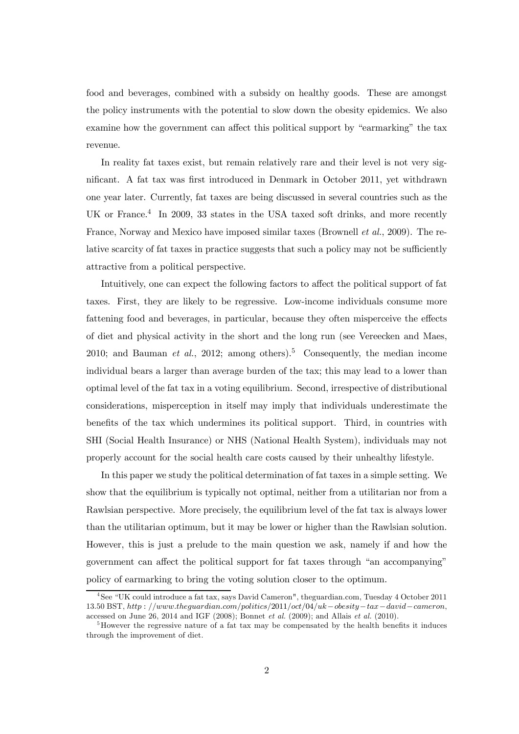food and beverages, combined with a subsidy on healthy goods. These are amongst the policy instruments with the potential to slow down the obesity epidemics. We also examine how the government can affect this political support by "earmarking" the tax revenue.

In reality fat taxes exist, but remain relatively rare and their level is not very significant. A fat tax was first introduced in Denmark in October 2011, yet withdrawn one year later. Currently, fat taxes are being discussed in several countries such as the UK or France.<sup>4</sup> In 2009, 33 states in the USA taxed soft drinks, and more recently France, Norway and Mexico have imposed similar taxes (Brownell *et al.*, 2009). The relative scarcity of fat taxes in practice suggests that such a policy may not be sufficiently attractive from a political perspective.

Intuitively, one can expect the following factors to affect the political support of fat taxes. First, they are likely to be regressive. Low-income individuals consume more fattening food and beverages, in particular, because they often misperceive the effects of diet and physical activity in the short and the long run (see Vereecken and Maes, 2010; and Bauman *et al.*, 2012; among others).<sup>5</sup> Consequently, the median income individual bears a larger than average burden of the tax; this may lead to a lower than optimal level of the fat tax in a voting equilibrium. Second, irrespective of distributional considerations, misperception in itself may imply that individuals underestimate the benefits of the tax which undermines its political support. Third, in countries with SHI (Social Health Insurance) or NHS (National Health System), individuals may not properly account for the social health care costs caused by their unhealthy lifestyle.

In this paper we study the political determination of fat taxes in a simple setting. We show that the equilibrium is typically not optimal, neither from a utilitarian nor from a Rawlsian perspective. More precisely, the equilibrium level of the fat tax is always lower than the utilitarian optimum, but it may be lower or higher than the Rawlsian solution. However, this is just a prelude to the main question we ask, namely if and how the government can affect the political support for fat taxes through "an accompanying" policy of earmarking to bring the voting solution closer to the optimum.

<sup>4</sup>See "UK could introduce a fat tax, says David Cameron", theguardian.com, Tuesday 4 October 2011  $13.50$  BST,  $http://www.thequardian.com/politics/2011/oct/04/uk-obesity-tax-david-cameron$ accessed on June 26, 2014 and IGF  $(2008)$ ; Bonnet *et al.*  $(2009)$ ; and Allais *et al.*  $(2010)$ .

 $5$ However the regressive nature of a fat tax may be compensated by the health benefits it induces through the improvement of diet.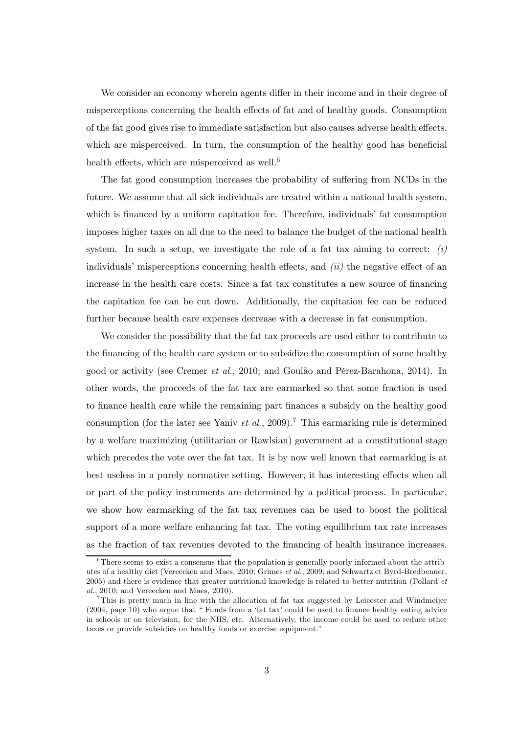We consider an economy wherein agents differ in their income and in their degree of misperceptions concerning the health effects of fat and of healthy goods. Consumption of the fat good gives rise to immediate satisfaction but also causes adverse health effects, which are misperceived. In turn, the consumption of the healthy good has beneficial health effects, which are misperceived as well.<sup>6</sup>

The fat good consumption increases the probability of suffering from NCDs in the future. We assume that all sick individuals are treated within a national health system, which is financed by a uniform capitation fee. Therefore, individuals' fat consumption imposes higher taxes on all due to the need to balance the budget of the national health system. In such a setup, we investigate the role of a fat tax aiming to correct:  $(i)$ individuals' misperceptions concerning health effects, and  $(ii)$  the negative effect of an increase in the health care costs. Since a fat tax constitutes a new source of financing the capitation fee can be cut down. Additionally, the capitation fee can be reduced further because health care expenses decrease with a decrease in fat consumption.

We consider the possibility that the fat tax proceeds are used either to contribute to the financing of the health care system or to subsidize the consumption of some healthy good or activity (see Cremer et al., 2010; and Goulão and Pérez-Barahona, 2014). In other words, the proceeds of the fat tax are earmarked so that some fraction is used to finance health care while the remaining part finances a subsidy on the healthy good consumption (for the later see Yaniv et al., 2009).<sup>7</sup> This earmarking rule is determined by a welfare maximizing (utilitarian or Rawlsian) government at a constitutional stage which precedes the vote over the fat tax. It is by now well known that earmarking is at best useless in a purely normative setting. However, it has interesting effects when all or part of the policy instruments are determined by a political process. In particular, we show how earmarking of the fat tax revenues can be used to boost the political support of a more welfare enhancing fat tax. The voting equilibrium tax rate increases as the fraction of tax revenues devoted to the financing of health insurance increases.

 $6$ There seems to exist a consensus that the population is generally poorly informed about the attributes of a healthy diet (Vereecken and Maes, 2010; Grimes et al., 2009; and Schwartz et Byrd-Bredbenner, 2005) and there is evidence that greater nutritional knowledge is related to better nutrition (Pollard et al., 2010; and Vereecken and Maes, 2010).

<sup>7</sup>This is pretty much in line with the allocation of fat tax suggested by Leicester and Windmeijer (2004, page 10) who argue that " Funds from a 'fat tax' could be used to finance healthy eating advice in schools or on television, for the NHS, etc. Alternatively, the income could be used to reduce other taxes or provide subsidies on healthy foods or exercise equipment."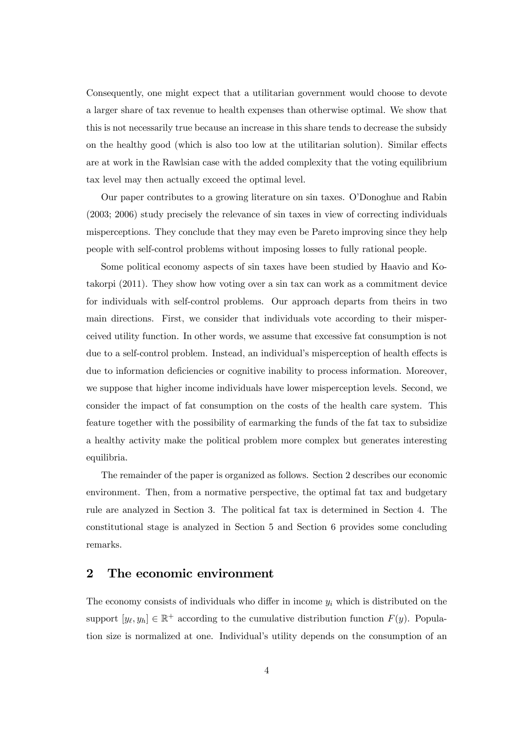Consequently, one might expect that a utilitarian government would choose to devote a larger share of tax revenue to health expenses than otherwise optimal. We show that this is not necessarily true because an increase in this share tends to decrease the subsidy on the healthy good (which is also too low at the utilitarian solution). Similar effects are at work in the Rawlsian case with the added complexity that the voting equilibrium tax level may then actually exceed the optimal level.

Our paper contributes to a growing literature on sin taxes. O'Donoghue and Rabin (2003; 2006) study precisely the relevance of sin taxes in view of correcting individuals misperceptions. They conclude that they may even be Pareto improving since they help people with self-control problems without imposing losses to fully rational people.

Some political economy aspects of sin taxes have been studied by Haavio and Kotakorpi (2011). They show how voting over a sin tax can work as a commitment device for individuals with self-control problems. Our approach departs from theirs in two main directions. First, we consider that individuals vote according to their misperceived utility function. In other words, we assume that excessive fat consumption is not due to a self-control problem. Instead, an individual's misperception of health effects is due to information deficiencies or cognitive inability to process information. Moreover, we suppose that higher income individuals have lower misperception levels. Second, we consider the impact of fat consumption on the costs of the health care system. This feature together with the possibility of earmarking the funds of the fat tax to subsidize a healthy activity make the political problem more complex but generates interesting equilibria.

The remainder of the paper is organized as follows. Section 2 describes our economic environment. Then, from a normative perspective, the optimal fat tax and budgetary rule are analyzed in Section 3. The political fat tax is determined in Section 4. The constitutional stage is analyzed in Section 5 and Section 6 provides some concluding remarks.

#### 2 The economic environment

The economy consists of individuals who differ in income  $y_i$  which is distributed on the support  $[y_{\ell}, y_h] \in \mathbb{R}^+$  according to the cumulative distribution function  $F(y)$ . Population size is normalized at one. Individual's utility depends on the consumption of an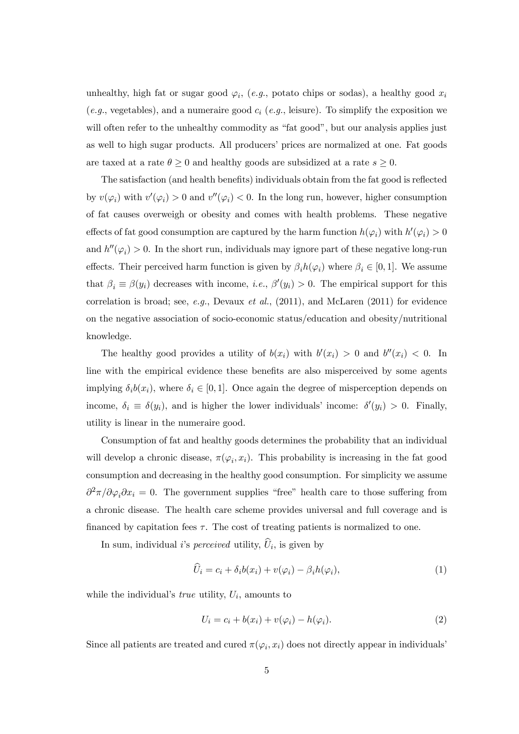unhealthy, high fat or sugar good  $\varphi_i$ , (e.g., potato chips or sodas), a healthy good  $x_i$ (e.g., vegetables), and a numeraire good  $c_i$  (e.g., leisure). To simplify the exposition we will often refer to the unhealthy commodity as "fat good", but our analysis applies just as well to high sugar products. All producers' prices are normalized at one. Fat goods are taxed at a rate  $\theta \ge 0$  and healthy goods are subsidized at a rate  $s \ge 0$ .

The satisfaction (and health benefits) individuals obtain from the fat good is reflected by  $v(\varphi_i)$  with  $v'(\varphi_i) > 0$  and  $v''(\varphi_i) < 0$ . In the long run, however, higher consumption of fat causes overweigh or obesity and comes with health problems. These negative effects of fat good consumption are captured by the harm function  $h(\varphi_i)$  with  $h'(\varphi_i) > 0$ and  $h''(\varphi_i) > 0$ . In the short run, individuals may ignore part of these negative long-run effects. Their perceived harm function is given by  $\beta_i h(\varphi_i)$  where  $\beta_i \in [0, 1]$ . We assume that  $\beta_i \equiv \beta(y_i)$  decreases with income, *i.e.*,  $\beta'(y_i) > 0$ . The empirical support for this correlation is broad; see, e.g., Devaux et al.,  $(2011)$ , and McLaren  $(2011)$  for evidence on the negative association of socio-economic status/education and obesity/nutritional knowledge.

The healthy good provides a utility of  $b(x_i)$  with  $b'(x_i) > 0$  and  $b''(x_i) < 0$ . In line with the empirical evidence these benefits are also misperceived by some agents implying  $\delta_i b(x_i)$ , where  $\delta_i \in [0,1]$ . Once again the degree of misperception depends on income,  $\delta_i \equiv \delta(y_i)$ , and is higher the lower individuals' income:  $\delta'(y_i) > 0$ . Finally, utility is linear in the numeraire good.

Consumption of fat and healthy goods determines the probability that an individual will develop a chronic disease,  $\pi(\varphi_i, x_i)$ . This probability is increasing in the fat good consumption and decreasing in the healthy good consumption. For simplicity we assume  $\partial^2 \pi / \partial \varphi_i \partial x_i = 0$ . The government supplies "free" health care to those suffering from a chronic disease. The health care scheme provides universal and full coverage and is financed by capitation fees  $\tau$ . The cost of treating patients is normalized to one.

In sum, individual *i*'s *perceived* utility,  $\hat{U}_i$ , is given by

$$
\widehat{U}_i = c_i + \delta_i b(x_i) + v(\varphi_i) - \beta_i h(\varphi_i),\tag{1}
$$

while the individual's *true* utility,  $U_i$ , amounts to

$$
U_i = c_i + b(x_i) + v(\varphi_i) - h(\varphi_i). \tag{2}
$$

Since all patients are treated and cured  $\pi(\varphi_i, x_i)$  does not directly appear in individuals'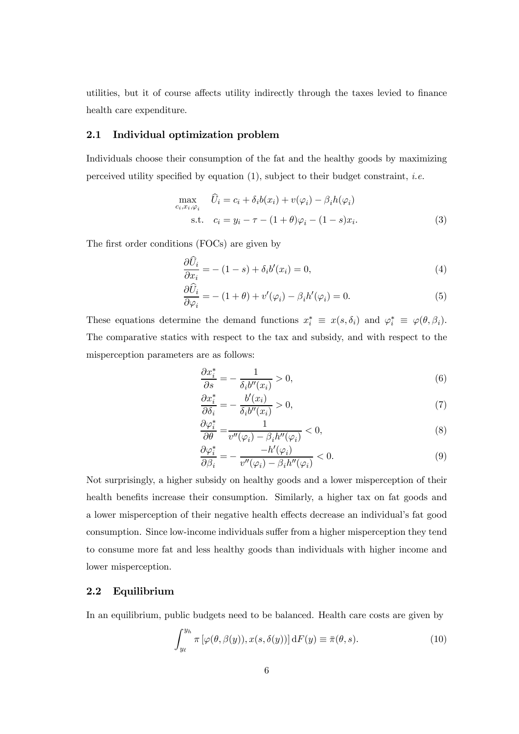utilities, but it of course affects utility indirectly through the taxes levied to finance health care expenditure.

#### 2.1 Individual optimization problem

Individuals choose their consumption of the fat and the healthy goods by maximizing perceived utility specified by equation (1), subject to their budget constraint, i.e.

$$
\max_{c_i, x_i, \varphi_i} \quad \widehat{U}_i = c_i + \delta_i b(x_i) + v(\varphi_i) - \beta_i h(\varphi_i)
$$
\n
$$
\text{s.t.} \quad c_i = y_i - \tau - (1 + \theta)\varphi_i - (1 - s)x_i. \tag{3}
$$

The first order conditions (FOCs) are given by

$$
\frac{\partial \widehat{U}_i}{\partial x_i} = -(1-s) + \delta_i b'(x_i) = 0,\tag{4}
$$

$$
\frac{\partial \widehat{U}_i}{\partial \varphi_i} = - (1 + \theta) + v'(\varphi_i) - \beta_i h'(\varphi_i) = 0.
$$
\n(5)

These equations determine the demand functions  $x_i^* \equiv x(s, \delta_i)$  and  $\varphi_i^* \equiv \varphi(\theta, \beta_i)$ . The comparative statics with respect to the tax and subsidy, and with respect to the misperception parameters are as follows:

$$
\frac{\partial x_i^*}{\partial s} = -\frac{1}{\delta_i b''(x_i)} > 0,\tag{6}
$$

$$
\frac{\partial x_i^*}{\partial \delta_i} = -\frac{b'(x_i)}{\delta_i b''(x_i)} > 0,\tag{7}
$$

$$
\frac{\partial \varphi_i^*}{\partial \theta} = \frac{1}{v''(\varphi_i) - \beta_i h''(\varphi_i)} < 0,\tag{8}
$$

$$
\frac{\partial \varphi_i^*}{\partial \beta_i} = -\frac{-h'(\varphi_i)}{v''(\varphi_i) - \beta_i h''(\varphi_i)} < 0. \tag{9}
$$

Not surprisingly, a higher subsidy on healthy goods and a lower misperception of their health benefits increase their consumption. Similarly, a higher tax on fat goods and a lower misperception of their negative health effects decrease an individual's fat good consumption. Since low-income individuals suffer from a higher misperception they tend to consume more fat and less healthy goods than individuals with higher income and lower misperception.

#### 2.2 Equilibrium

In an equilibrium, public budgets need to be balanced. Health care costs are given by

$$
\int_{y_{\ell}}^{y_h} \pi \left[ \varphi(\theta, \beta(y)), x(s, \delta(y)) \right] dF(y) \equiv \bar{\pi}(\theta, s). \tag{10}
$$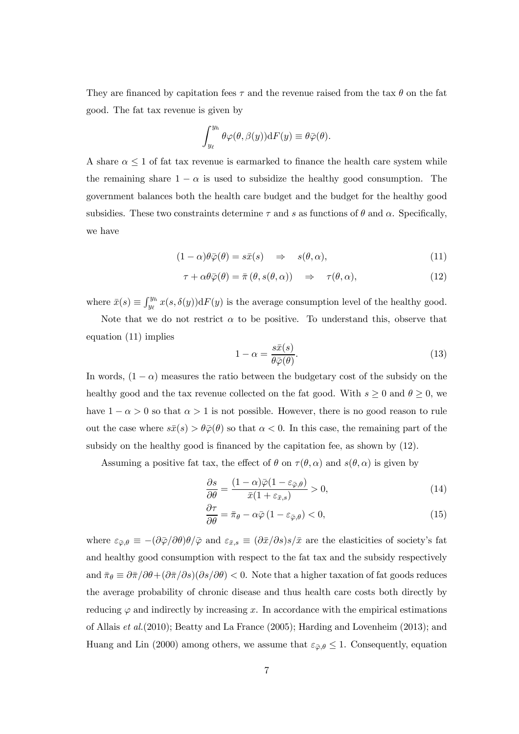They are financed by capitation fees  $\tau$  and the revenue raised from the tax  $\theta$  on the fat good. The fat tax revenue is given by

$$
\int_{y_{\ell}}^{y_h} \theta \varphi(\theta, \beta(y)) dF(y) \equiv \theta \bar{\varphi}(\theta).
$$

A share  $\alpha \leq 1$  of fat tax revenue is earmarked to finance the health care system while the remaining share  $1 - \alpha$  is used to subsidize the healthy good consumption. The government balances both the health care budget and the budget for the healthy good subsidies. These two constraints determine  $\tau$  and s as functions of  $\theta$  and  $\alpha$ . Specifically, we have

$$
(1 - \alpha)\theta\bar{\varphi}(\theta) = s\bar{x}(s) \quad \Rightarrow \quad s(\theta, \alpha), \tag{11}
$$

$$
\tau + \alpha \theta \bar{\varphi}(\theta) = \bar{\pi}(\theta, s(\theta, \alpha)) \quad \Rightarrow \quad \tau(\theta, \alpha), \tag{12}
$$

where  $\bar{x}(s) \equiv \int_{y_{\ell}}^{y_h} x(s, \delta(y)) dF(y)$  is the average consumption level of the healthy good.

Note that we do not restrict  $\alpha$  to be positive. To understand this, observe that equation (11) implies

$$
1 - \alpha = \frac{s\bar{x}(s)}{\theta \bar{\varphi}(\theta)}.
$$
\n(13)

In words,  $(1 - \alpha)$  measures the ratio between the budgetary cost of the subsidy on the healthy good and the tax revenue collected on the fat good. With  $s \geq 0$  and  $\theta \geq 0$ , we have  $1 - \alpha > 0$  so that  $\alpha > 1$  is not possible. However, there is no good reason to rule out the case where  $s\bar{x}(s) > \theta\bar{\varphi}(\theta)$  so that  $\alpha < 0$ . In this case, the remaining part of the subsidy on the healthy good is financed by the capitation fee, as shown by (12).

Assuming a positive fat tax, the effect of  $\theta$  on  $\tau(\theta, \alpha)$  and  $s(\theta, \alpha)$  is given by

$$
\frac{\partial s}{\partial \theta} = \frac{(1 - \alpha)\bar{\varphi}(1 - \varepsilon_{\bar{\varphi}, \theta})}{\bar{x}(1 + \varepsilon_{\bar{x}, s})} > 0,
$$
\n(14)

$$
\frac{\partial \tau}{\partial \theta} = \bar{\pi}_{\theta} - \alpha \bar{\varphi} \left( 1 - \varepsilon_{\bar{\varphi}, \theta} \right) < 0,\tag{15}
$$

where  $\varepsilon_{\bar{\varphi},\theta} \equiv -(\partial \bar{\varphi}/\partial \theta)\theta/\bar{\varphi}$  and  $\varepsilon_{\bar{x},s} \equiv (\partial \bar{x}/\partial s)s/\bar{x}$  are the elasticities of society's fat and healthy good consumption with respect to the fat tax and the subsidy respectively and  $\bar{\pi}_{\theta} \equiv \partial \bar{\pi}/\partial \theta + (\partial \bar{\pi}/\partial s)(\partial s/\partial \theta) < 0$ . Note that a higher taxation of fat goods reduces the average probability of chronic disease and thus health care costs both directly by reducing  $\varphi$  and indirectly by increasing x. In accordance with the empirical estimations of Allais et al.(2010); Beatty and La France (2005); Harding and Lovenheim (2013); and Huang and Lin (2000) among others, we assume that  $\varepsilon_{\bar{\varphi},\theta} \leq 1$ . Consequently, equation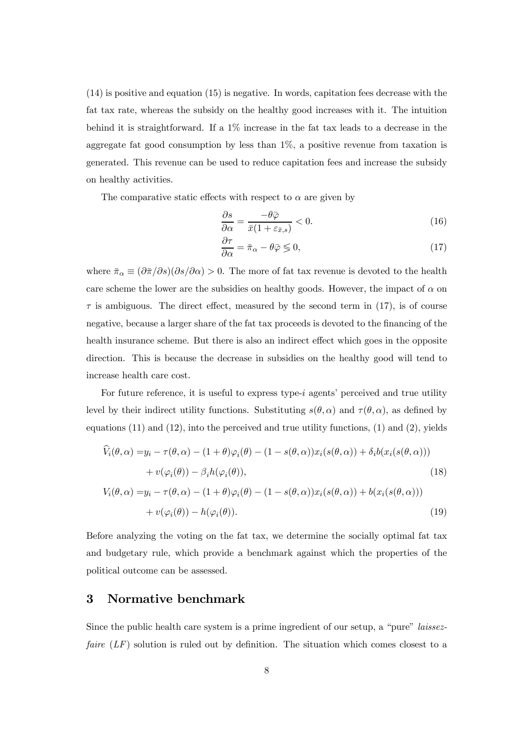(14) is positive and equation (15) is negative. In words, capitation fees decrease with the fat tax rate, whereas the subsidy on the healthy good increases with it. The intuition behind it is straightforward. If a 1% increase in the fat tax leads to a decrease in the aggregate fat good consumption by less than 1%, a positive revenue from taxation is generated. This revenue can be used to reduce capitation fees and increase the subsidy on healthy activities.

The comparative static effects with respect to  $\alpha$  are given by

$$
\frac{\partial s}{\partial \alpha} = \frac{-\theta \bar{\varphi}}{\bar{x}(1 + \varepsilon_{\bar{x},s})} < 0. \tag{16}
$$

$$
\frac{\partial \tau}{\partial \alpha} = \bar{\pi}_{\alpha} - \theta \bar{\varphi} \lessgtr 0, \tag{17}
$$

where  $\bar{\pi}_{\alpha} \equiv (\partial \bar{\pi}/\partial s)(\partial s/\partial \alpha) > 0$ . The more of fat tax revenue is devoted to the health care scheme the lower are the subsidies on healthy goods. However, the impact of  $\alpha$  on  $\tau$  is ambiguous. The direct effect, measured by the second term in (17), is of course negative, because a larger share of the fat tax proceeds is devoted to the financing of the health insurance scheme. But there is also an indirect effect which goes in the opposite direction. This is because the decrease in subsidies on the healthy good will tend to increase health care cost.

For future reference, it is useful to express type-*i* agents' perceived and true utility level by their indirect utility functions. Substituting  $s(\theta, \alpha)$  and  $\tau(\theta, \alpha)$ , as defined by equations  $(11)$  and  $(12)$ , into the perceived and true utility functions,  $(1)$  and  $(2)$ , yields

$$
\dot{V}_i(\theta,\alpha) = y_i - \tau(\theta,\alpha) - (1+\theta)\varphi_i(\theta) - (1-s(\theta,\alpha))x_i(s(\theta,\alpha)) + \delta_i b(x_i(s(\theta,\alpha)))
$$
  
+  $v(\varphi_i(\theta)) - \beta_i h(\varphi_i(\theta)),$  (18)

$$
V_i(\theta, \alpha) = y_i - \tau(\theta, \alpha) - (1 + \theta)\varphi_i(\theta) - (1 - s(\theta, \alpha))x_i(s(\theta, \alpha)) + b(x_i(s(\theta, \alpha)))
$$
  
+ 
$$
v(\varphi_i(\theta)) - h(\varphi_i(\theta)).
$$
 (19)

Before analyzing the voting on the fat tax, we determine the socially optimal fat tax and budgetary rule, which provide a benchmark against which the properties of the political outcome can be assessed.

#### 3 Normative benchmark

Since the public health care system is a prime ingredient of our setup, a "pure" laissezfaire  $(LF)$  solution is ruled out by definition. The situation which comes closest to a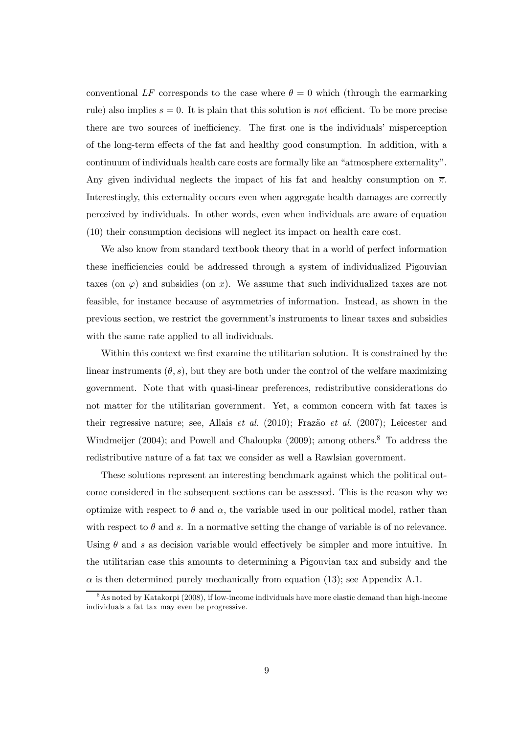conventional LF corresponds to the case where  $\theta = 0$  which (through the earmarking rule) also implies  $s = 0$ . It is plain that this solution is not efficient. To be more precise there are two sources of inefficiency. The first one is the individuals' misperception of the long-term effects of the fat and healthy good consumption. In addition, with a continuum of individuals health care costs are formally like an "atmosphere externality". Any given individual neglects the impact of his fat and healthy consumption on  $\overline{\pi}$ . Interestingly, this externality occurs even when aggregate health damages are correctly perceived by individuals. In other words, even when individuals are aware of equation (10) their consumption decisions will neglect its impact on health care cost.

We also know from standard textbook theory that in a world of perfect information these inefficiencies could be addressed through a system of individualized Pigouvian taxes (on  $\varphi$ ) and subsidies (on x). We assume that such individualized taxes are not feasible, for instance because of asymmetries of information. Instead, as shown in the previous section, we restrict the government's instruments to linear taxes and subsidies with the same rate applied to all individuals.

Within this context we first examine the utilitarian solution. It is constrained by the linear instruments  $(\theta, s)$ , but they are both under the control of the welfare maximizing government. Note that with quasi-linear preferences, redistributive considerations do not matter for the utilitarian government. Yet, a common concern with fat taxes is their regressive nature; see, Allais et al. (2010); Frazão et al. (2007); Leicester and Windmeijer (2004); and Powell and Chaloupka (2009); among others.<sup>8</sup> To address the redistributive nature of a fat tax we consider as well a Rawlsian government.

These solutions represent an interesting benchmark against which the political outcome considered in the subsequent sections can be assessed. This is the reason why we optimize with respect to  $\theta$  and  $\alpha$ , the variable used in our political model, rather than with respect to  $\theta$  and s. In a normative setting the change of variable is of no relevance. Using  $\theta$  and s as decision variable would effectively be simpler and more intuitive. In the utilitarian case this amounts to determining a Pigouvian tax and subsidy and the  $\alpha$  is then determined purely mechanically from equation (13); see Appendix A.1.

 $8$ As noted by Katakorpi (2008), if low-income individuals have more elastic demand than high-income individuals a fat tax may even be progressive.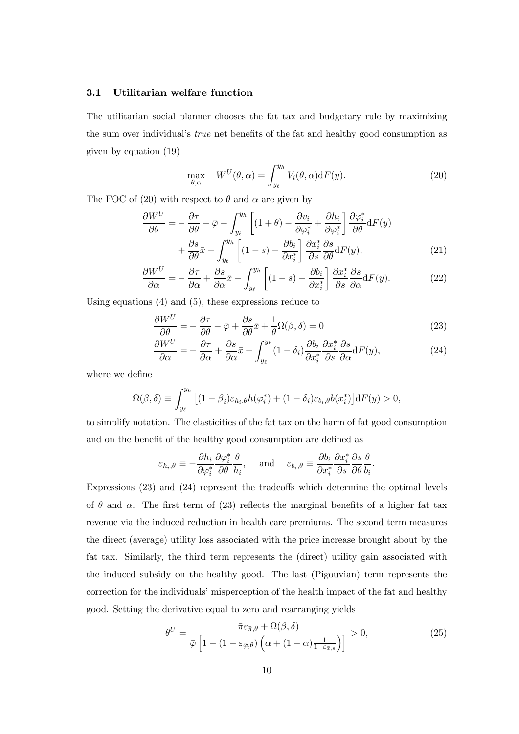#### 3.1 Utilitarian welfare function

The utilitarian social planner chooses the fat tax and budgetary rule by maximizing the sum over individual's true net benefits of the fat and healthy good consumption as given by equation (19)

$$
\max_{\theta,\alpha} \quad W^U(\theta,\alpha) = \int_{y_\ell}^{y_h} V_i(\theta,\alpha) \mathrm{d}F(y). \tag{20}
$$

The FOC of (20) with respect to  $\theta$  and  $\alpha$  are given by

$$
\frac{\partial W^{U}}{\partial \theta} = -\frac{\partial \tau}{\partial \theta} - \bar{\varphi} - \int_{y_{\ell}}^{y_{h}} \left[ (1 + \theta) - \frac{\partial v_{i}}{\partial \varphi_{i}^{*}} + \frac{\partial h_{i}}{\partial \varphi_{i}^{*}} \right] \frac{\partial \varphi_{i}^{*}}{\partial \theta} dF(y) + \frac{\partial s}{\partial \theta} \bar{x} - \int_{y_{\ell}}^{y_{h}} \left[ (1 - s) - \frac{\partial b_{i}}{\partial x_{i}^{*}} \right] \frac{\partial x_{i}^{*}}{\partial s} \frac{\partial s}{\partial \theta} dF(y),
$$
(21)

$$
\frac{\partial W^U}{\partial \alpha} = -\frac{\partial \tau}{\partial \alpha} + \frac{\partial s}{\partial \alpha} \bar{x} - \int_{y_\ell}^{y_h} \left[ (1 - s) - \frac{\partial b_i}{\partial x_i^*} \right] \frac{\partial x_i^*}{\partial s} \frac{\partial s}{\partial \alpha} dF(y). \tag{22}
$$

Using equations (4) and (5), these expressions reduce to

$$
\frac{\partial W^U}{\partial \theta} = -\frac{\partial \tau}{\partial \theta} - \bar{\varphi} + \frac{\partial s}{\partial \theta} \bar{x} + \frac{1}{\theta} \Omega(\beta, \delta) = 0 \tag{23}
$$

$$
\frac{\partial W^U}{\partial \alpha} = -\frac{\partial \tau}{\partial \alpha} + \frac{\partial s}{\partial \alpha}\bar{x} + \int_{y_\ell}^{y_h} (1 - \delta_i) \frac{\partial b_i}{\partial x_i^*} \frac{\partial x_i^*}{\partial s} \frac{\partial s}{\partial \alpha} dF(y),\tag{24}
$$

where we define

$$
\Omega(\beta,\delta) \equiv \int_{y_{\ell}}^{y_h} \left[ (1-\beta_i)\varepsilon_{h_i,\theta} h(\varphi_i^*) + (1-\delta_i)\varepsilon_{b_i,\theta} b(x_i^*) \right] dF(y) > 0,
$$

to simplify notation. The elasticities of the fat tax on the harm of fat good consumption and on the benefit of the healthy good consumption are defined as

$$
\varepsilon_{h_i, \theta} \equiv -\frac{\partial h_i}{\partial \varphi_i^*} \frac{\partial \varphi_i^*}{\partial \theta} \frac{\theta}{h_i}, \quad \text{and} \quad \varepsilon_{b_i, \theta} \equiv \frac{\partial b_i}{\partial x_i^*} \frac{\partial x_i^*}{\partial s} \frac{\partial s}{\partial \theta} \frac{\theta}{b_i}.
$$

Expressions (23) and (24) represent the tradeoffs which determine the optimal levels of  $\theta$  and  $\alpha$ . The first term of (23) reflects the marginal benefits of a higher fat tax revenue via the induced reduction in health care premiums. The second term measures the direct (average) utility loss associated with the price increase brought about by the fat tax. Similarly, the third term represents the (direct) utility gain associated with the induced subsidy on the healthy good. The last (Pigouvian) term represents the correction for the individuals' misperception of the health impact of the fat and healthy good. Setting the derivative equal to zero and rearranging yields

$$
\theta^{U} = \frac{\bar{\pi}\varepsilon_{\bar{\pi},\theta} + \Omega(\beta,\delta)}{\bar{\varphi}\left[1 - \left(1 - \varepsilon_{\bar{\varphi},\theta}\right)\left(\alpha + (1-\alpha)\frac{1}{1+\varepsilon_{\bar{x},s}}\right)\right]} > 0,
$$
\n(25)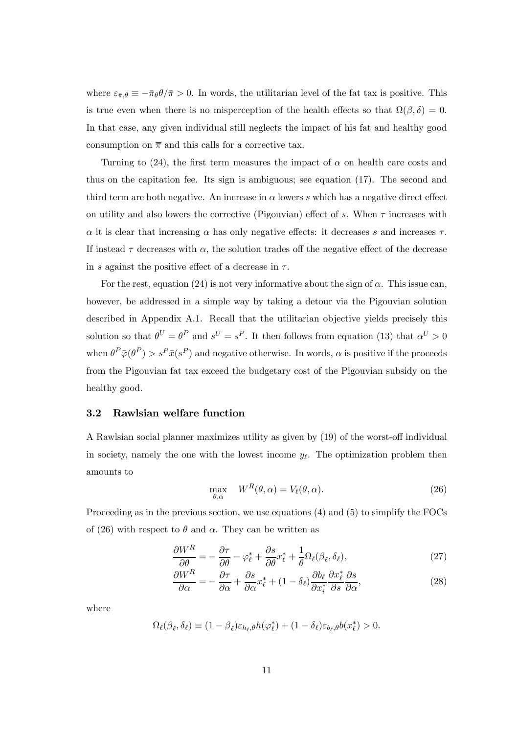where  $\varepsilon_{\bar{\pi},\theta} \equiv -\bar{\pi}_{\theta} \theta / \bar{\pi} > 0$ . In words, the utilitarian level of the fat tax is positive. This is true even when there is no misperception of the health effects so that  $\Omega(\beta,\delta)=0$ . In that case, any given individual still neglects the impact of his fat and healthy good consumption on  $\bar{\pi}$  and this calls for a corrective tax.

Turning to  $(24)$ , the first term measures the impact of  $\alpha$  on health care costs and thus on the capitation fee. Its sign is ambiguous; see equation (17). The second and third term are both negative. An increase in  $\alpha$  lowers s which has a negative direct effect on utility and also lowers the corrective (Pigouvian) effect of s. When  $\tau$  increases with  $\alpha$  it is clear that increasing  $\alpha$  has only negative effects: it decreases s and increases  $\tau$ . If instead  $\tau$  decreases with  $\alpha$ , the solution trades off the negative effect of the decrease in s against the positive effect of a decrease in  $\tau$ .

For the rest, equation (24) is not very informative about the sign of  $\alpha$ . This issue can, however, be addressed in a simple way by taking a detour via the Pigouvian solution described in Appendix A.1. Recall that the utilitarian objective yields precisely this solution so that  $\theta^U = \theta^P$  and  $s^U = s^P$ . It then follows from equation (13) that  $\alpha^U > 0$ when  $\theta^P \bar{\varphi}(\theta^P) > s^P \bar{x}(s^P)$  and negative otherwise. In words,  $\alpha$  is positive if the proceeds from the Pigouvian fat tax exceed the budgetary cost of the Pigouvian subsidy on the healthy good.

#### 3.2 Rawlsian welfare function

A Rawlsian social planner maximizes utility as given by (19) of the worst-off individual in society, namely the one with the lowest income  $y_{\ell}$ . The optimization problem then amounts to

$$
\max_{\theta,\alpha} \quad W^{R}(\theta,\alpha) = V_{\ell}(\theta,\alpha). \tag{26}
$$

Proceeding as in the previous section, we use equations (4) and (5) to simplify the FOCs of (26) with respect to  $\theta$  and  $\alpha$ . They can be written as

$$
\frac{\partial W^R}{\partial \theta} = -\frac{\partial \tau}{\partial \theta} - \varphi_\ell^* + \frac{\partial s}{\partial \theta} x_\ell^* + \frac{1}{\theta} \Omega_\ell(\beta_\ell, \delta_\ell),\tag{27}
$$

$$
\frac{\partial W^R}{\partial \alpha} = -\frac{\partial \tau}{\partial \alpha} + \frac{\partial s}{\partial \alpha} x^*_{\ell} + (1 - \delta_{\ell}) \frac{\partial b_{\ell}}{\partial x^*_{i}} \frac{\partial x^*_{\ell}}{\partial s} \frac{\partial s}{\partial \alpha},\tag{28}
$$

where

$$
\Omega_{\ell}(\beta_{\ell},\delta_{\ell}) \equiv (1-\beta_{\ell})\varepsilon_{h_{\ell},\theta}h(\varphi_{\ell}^*) + (1-\delta_{\ell})\varepsilon_{b_{\ell},\theta}b(x_{\ell}^*) > 0.
$$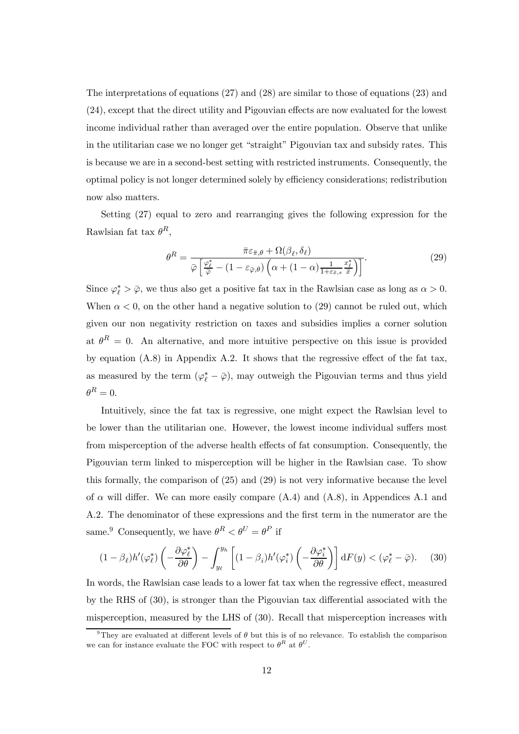The interpretations of equations (27) and (28) are similar to those of equations (23) and (24), except that the direct utility and Pigouvian effects are now evaluated for the lowest income individual rather than averaged over the entire population. Observe that unlike in the utilitarian case we no longer get "straight" Pigouvian tax and subsidy rates. This is because we are in a second-best setting with restricted instruments. Consequently, the optimal policy is not longer determined solely by efficiency considerations; redistribution now also matters.

Setting (27) equal to zero and rearranging gives the following expression for the Rawlsian fat tax  $\theta^R$ ,

$$
\theta^{R} = \frac{\bar{\pi}\varepsilon_{\bar{\pi},\theta} + \Omega(\beta_{\ell},\delta_{\ell})}{\bar{\varphi}\left[\frac{\varphi_{\ell}^{*}}{\bar{\varphi}} - (1 - \varepsilon_{\bar{\varphi},\theta})\left(\alpha + (1-\alpha)\frac{1}{1+\varepsilon_{\bar{x},s}}\frac{x_{\ell}^{*}}{\bar{x}}\right)\right]}.
$$
\n(29)

Since  $\varphi_{\ell}^* > \bar{\varphi}$ , we thus also get a positive fat tax in the Rawlsian case as long as  $\alpha > 0$ . When  $\alpha < 0$ , on the other hand a negative solution to (29) cannot be ruled out, which given our non negativity restriction on taxes and subsidies implies a corner solution at  $\theta^R = 0$ . An alternative, and more intuitive perspective on this issue is provided by equation (A.8) in Appendix A.2. It shows that the regressive effect of the fat tax, as measured by the term  $(\varphi_{\ell}^* - \bar{\varphi})$ , may outweigh the Pigouvian terms and thus yield  $\theta^R = 0.$ 

Intuitively, since the fat tax is regressive, one might expect the Rawlsian level to be lower than the utilitarian one. However, the lowest income individual suffers most from misperception of the adverse health effects of fat consumption. Consequently, the Pigouvian term linked to misperception will be higher in the Rawlsian case. To show this formally, the comparison of (25) and (29) is not very informative because the level of  $\alpha$  will differ. We can more easily compare  $(A.4)$  and  $(A.8)$ , in Appendices A.1 and A.2. The denominator of these expressions and the first term in the numerator are the same.<sup>9</sup> Consequently, we have  $\theta^R < \theta^U = \theta^P$  if

$$
(1 - \beta_{\ell})h'(\varphi_{\ell}^*) \left( -\frac{\partial \varphi_{\ell}^*}{\partial \theta} \right) - \int_{y_{\ell}}^{y_h} \left[ (1 - \beta_i)h'(\varphi_i^*) \left( -\frac{\partial \varphi_i^*}{\partial \theta} \right) \right] dF(y) < (\varphi_{\ell}^* - \bar{\varphi}). \tag{30}
$$

In words, the Rawlsian case leads to a lower fat tax when the regressive effect, measured by the RHS of (30), is stronger than the Pigouvian tax differential associated with the misperception, measured by the LHS of (30). Recall that misperception increases with

<sup>&</sup>lt;sup>9</sup>They are evaluated at different levels of  $\theta$  but this is of no relevance. To establish the comparison we can for instance evaluate the FOC with respect to  $\theta^R$  at  $\theta^U$ .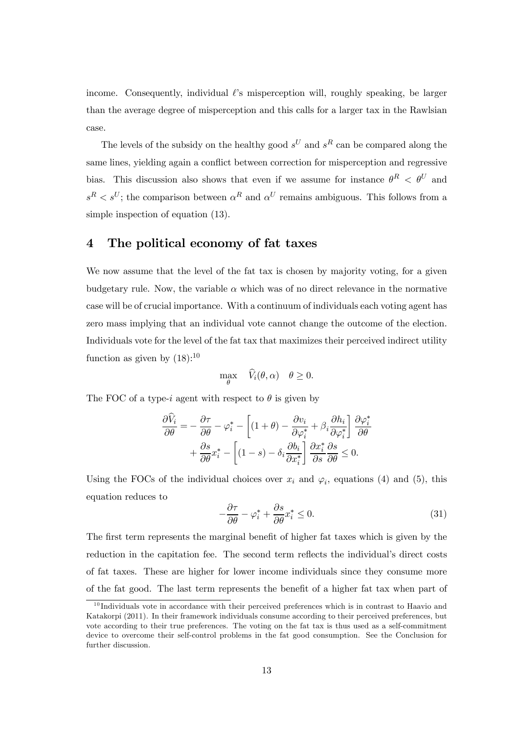income. Consequently, individual  $\ell$ 's misperception will, roughly speaking, be larger than the average degree of misperception and this calls for a larger tax in the Rawlsian case.

The levels of the subsidy on the healthy good  $s^U$  and  $s^R$  can be compared along the same lines, yielding again a conflict between correction for misperception and regressive bias. This discussion also shows that even if we assume for instance  $\theta^R$  <  $\theta^U$  and  $s^R < s^U$ ; the comparison between  $\alpha^R$  and  $\alpha^U$  remains ambiguous. This follows from a simple inspection of equation (13).

### 4 The political economy of fat taxes

We now assume that the level of the fat tax is chosen by majority voting, for a given budgetary rule. Now, the variable  $\alpha$  which was of no direct relevance in the normative case will be of crucial importance. With a continuum of individuals each voting agent has zero mass implying that an individual vote cannot change the outcome of the election. Individuals vote for the level of the fat tax that maximizes their perceived indirect utility function as given by  $(18)$ :<sup>10</sup>

$$
\max_{\theta} \quad \widehat{V}_i(\theta, \alpha) \quad \theta \ge 0.
$$

The FOC of a type-*i* agent with respect to  $\theta$  is given by

$$
\frac{\partial \widehat{V}_i}{\partial \theta} = -\frac{\partial \tau}{\partial \theta} - \varphi_i^* - \left[ (1 + \theta) - \frac{\partial v_i}{\partial \varphi_i^*} + \beta_i \frac{\partial h_i}{\partial \varphi_i^*} \right] \frac{\partial \varphi_i^*}{\partial \theta} \n+ \frac{\partial s}{\partial \theta} x_i^* - \left[ (1 - s) - \delta_i \frac{\partial b_i}{\partial x_i^*} \right] \frac{\partial x_i^*}{\partial s} \frac{\partial s}{\partial \theta} \le 0.
$$

Using the FOCs of the individual choices over  $x_i$  and  $\varphi_i$ , equations (4) and (5), this equation reduces to

$$
-\frac{\partial \tau}{\partial \theta} - \varphi_i^* + \frac{\partial s}{\partial \theta} x_i^* \le 0.
$$
 (31)

The first term represents the marginal benefit of higher fat taxes which is given by the reduction in the capitation fee. The second term reflects the individual's direct costs of fat taxes. These are higher for lower income individuals since they consume more of the fat good. The last term represents the benefit of a higher fat tax when part of

 $10$  Individuals vote in accordance with their perceived preferences which is in contrast to Haavio and Katakorpi (2011). In their framework individuals consume according to their perceived preferences, but vote according to their true preferences. The voting on the fat tax is thus used as a self-commitment device to overcome their self-control problems in the fat good consumption. See the Conclusion for further discussion.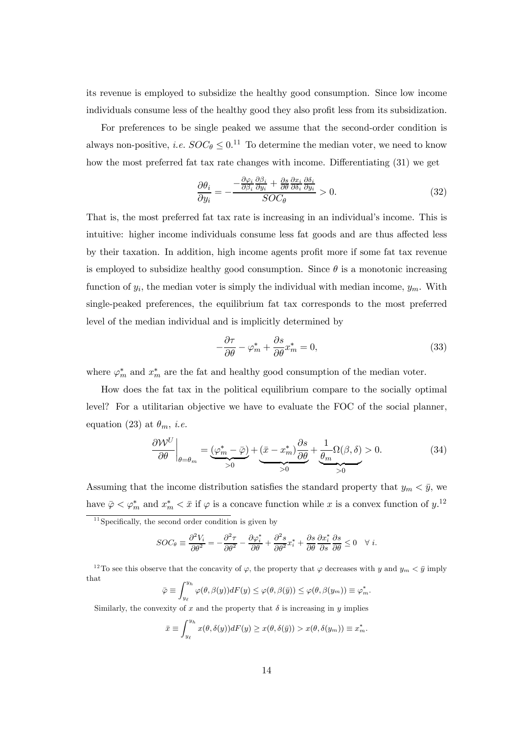its revenue is employed to subsidize the healthy good consumption. Since low income individuals consume less of the healthy good they also profit less from its subsidization.

For preferences to be single peaked we assume that the second-order condition is always non-positive, *i.e.*  $SOC_{\theta} \leq 0.11$  To determine the median voter, we need to know how the most preferred fat tax rate changes with income. Differentiating (31) we get

$$
\frac{\partial \theta_i}{\partial y_i} = -\frac{-\frac{\partial \varphi_i}{\partial \beta_i} \frac{\partial \beta_i}{\partial y_i} + \frac{\partial s}{\partial \theta} \frac{\partial x_i}{\partial \delta_i} \frac{\partial \delta_i}{\partial y_i}}{SOC_\theta} > 0.
$$
\n(32)

That is, the most preferred fat tax rate is increasing in an individual's income. This is intuitive: higher income individuals consume less fat goods and are thus affected less by their taxation. In addition, high income agents profit more if some fat tax revenue is employed to subsidize healthy good consumption. Since  $\theta$  is a monotonic increasing function of  $y_i$ , the median voter is simply the individual with median income,  $y_m$ . With single-peaked preferences, the equilibrium fat tax corresponds to the most preferred level of the median individual and is implicitly determined by

$$
-\frac{\partial \tau}{\partial \theta} - \varphi_m^* + \frac{\partial s}{\partial \theta} x_m^* = 0,
$$
\n(33)

where  $\varphi_m^*$  and  $x_m^*$  are the fat and healthy good consumption of the median voter.

How does the fat tax in the political equilibrium compare to the socially optimal level? For a utilitarian objective we have to evaluate the FOC of the social planner, equation (23) at  $\theta_m$ , *i.e.* 

$$
\left. \frac{\partial \mathcal{W}^U}{\partial \theta} \right|_{\theta = \theta_m} = \underbrace{(\varphi_m^* - \bar{\varphi})}_{>0} + \underbrace{(\bar{x} - x_m^*) \frac{\partial s}{\partial \theta}}_{>0} + \underbrace{\frac{1}{\theta_m} \Omega(\beta, \delta)}_{>0} > 0. \tag{34}
$$

Assuming that the income distribution satisfies the standard property that  $y_m < \bar{y}$ , we have  $\bar{\varphi} < \varphi_m^*$  and  $x_m^* < \bar{x}$  if  $\varphi$  is a concave function while x is a convex function of  $y$ .<sup>12</sup>

 $11$ Specifically, the second order condition is given by

$$
SOC_{\theta} \equiv \frac{\partial^2 V_i}{\partial \theta^2} = -\frac{\partial^2 \tau}{\partial \theta^2} - \frac{\partial \varphi_i^*}{\partial \theta} + \frac{\partial^2 s}{\partial \theta^2} x_i^* + \frac{\partial s}{\partial \theta} \frac{\partial x_i^*}{\partial s} \frac{\partial s}{\partial \theta} \le 0 \quad \forall i.
$$

<sup>12</sup>To see this observe that the concavity of  $\varphi$ , the property that  $\varphi$  decreases with  $y$  and  $y_m < \bar{y}$  imply that

$$
\bar{\varphi} \equiv \int_{y_{\ell}}^{y_h} \varphi(\theta, \beta(y)) dF(y) \leq \varphi(\theta, \beta(\bar{y})) \leq \varphi(\theta, \beta(y_m)) \equiv \varphi_m^*.
$$

Similarly, the convexity of  $x$  and the property that  $\delta$  is increasing in  $y$  implies

$$
\bar{x} \equiv \int_{y_{\ell}}^{y_h} x(\theta, \delta(y)) dF(y) \ge x(\theta, \delta(\bar{y})) > x(\theta, \delta(y_m)) \equiv x_m^*.
$$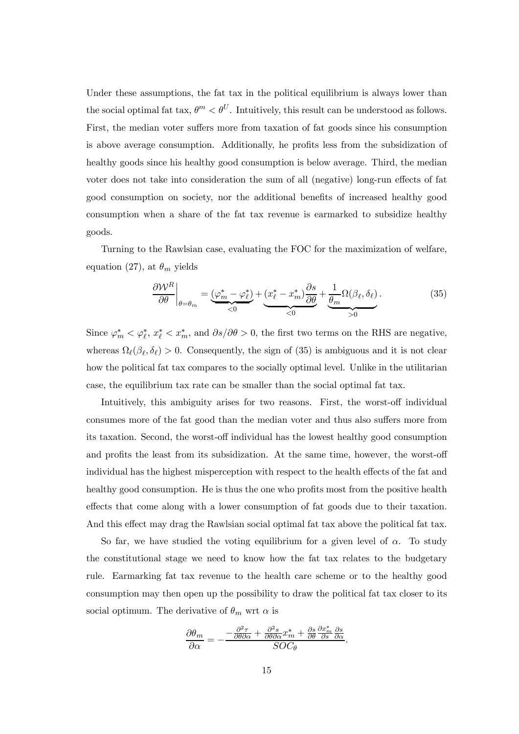Under these assumptions, the fat tax in the political equilibrium is always lower than the social optimal fat tax,  $\theta^m < \theta^U$ . Intuitively, this result can be understood as follows. First, the median voter suffers more from taxation of fat goods since his consumption is above average consumption. Additionally, he profits less from the subsidization of healthy goods since his healthy good consumption is below average. Third, the median voter does not take into consideration the sum of all (negative) long-run effects of fat good consumption on society, nor the additional benefits of increased healthy good consumption when a share of the fat tax revenue is earmarked to subsidize healthy goods.

Turning to the Rawlsian case, evaluating the FOC for the maximization of welfare, equation (27), at  $\theta_m$  yields

$$
\left. \frac{\partial \mathcal{W}^R}{\partial \theta} \right|_{\theta = \theta_m} = \underbrace{(\varphi_m^* - \varphi_\ell^*)}_{< 0} + \underbrace{(x_\ell^* - x_m^*) \frac{\partial s}{\partial \theta}}_{< 0} + \underbrace{\frac{1}{\theta_m} \Omega(\beta_\ell, \delta_\ell)}_{> 0} . \tag{35}
$$

Since  $\varphi_m^* < \varphi_\ell^*$ ,  $x_\ell^* < x_m^*$ , and  $\partial s/\partial \theta > 0$ , the first two terms on the RHS are negative, whereas  $\Omega_{\ell}(\beta_{\ell}, \delta_{\ell}) > 0$ . Consequently, the sign of (35) is ambiguous and it is not clear how the political fat tax compares to the socially optimal level. Unlike in the utilitarian case, the equilibrium tax rate can be smaller than the social optimal fat tax.

Intuitively, this ambiguity arises for two reasons. First, the worst-off individual consumes more of the fat good than the median voter and thus also suffers more from its taxation. Second, the worst-off individual has the lowest healthy good consumption and profits the least from its subsidization. At the same time, however, the worst-off individual has the highest misperception with respect to the health effects of the fat and healthy good consumption. He is thus the one who profits most from the positive health effects that come along with a lower consumption of fat goods due to their taxation. And this effect may drag the Rawlsian social optimal fat tax above the political fat tax.

So far, we have studied the voting equilibrium for a given level of  $\alpha$ . To study the constitutional stage we need to know how the fat tax relates to the budgetary rule. Earmarking fat tax revenue to the health care scheme or to the healthy good consumption may then open up the possibility to draw the political fat tax closer to its social optimum. The derivative of  $\theta_m$  wrt  $\alpha$  is

$$
\frac{\partial \theta_m}{\partial \alpha} = -\frac{-\frac{\partial^2 \tau}{\partial \theta \partial \alpha} + \frac{\partial^2 s}{\partial \theta \partial \alpha} x_m^* + \frac{\partial s}{\partial \theta} \frac{\partial x_m^*}{\partial s} \frac{\partial s}{\partial \alpha}}{SOC_\theta}.
$$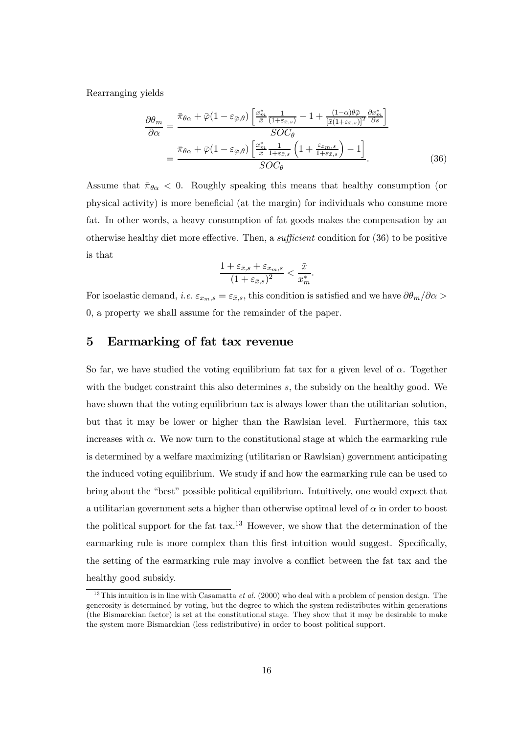Rearranging yields

$$
\frac{\partial \theta_m}{\partial \alpha} = \frac{\bar{\pi}_{\theta\alpha} + \bar{\varphi}(1 - \varepsilon_{\bar{\varphi},\theta}) \left[ \frac{x_m^*}{\bar{x}} \frac{1}{(1 + \varepsilon_{\bar{x},s})} - 1 + \frac{(1 - \alpha)\theta\bar{\varphi}}{[\bar{x}(1 + \varepsilon_{\bar{x},s})]^2} \frac{\partial x_m^*}{\partial s} \right]}{SOC_{\theta}}
$$

$$
= \frac{\bar{\pi}_{\theta\alpha} + \bar{\varphi}(1 - \varepsilon_{\bar{\varphi},\theta}) \left[ \frac{x_m^*}{\bar{x}} \frac{1}{1 + \varepsilon_{\bar{x},s}} \left( 1 + \frac{\varepsilon_{x_m,s}}{1 + \varepsilon_{\bar{x},s}} \right) - 1 \right]}{SOC_{\theta}}.
$$
(36)

Assume that  $\bar{\pi}_{\theta \alpha} < 0$ . Roughly speaking this means that healthy consumption (or physical activity) is more beneficial (at the margin) for individuals who consume more fat. In other words, a heavy consumption of fat goods makes the compensation by an otherwise healthy diet more effective. Then, a sufficient condition for (36) to be positive is that

$$
\frac{1 + \varepsilon_{\bar{x},s} + \varepsilon_{x_m,s}}{(1 + \varepsilon_{\bar{x},s})^2} < \frac{\bar{x}}{x_m^*}.
$$

For isoelastic demand, *i.e.*  $\varepsilon_{x_m,s} = \varepsilon_{\bar{x},s}$ , this condition is satisfied and we have  $\partial \theta_m / \partial \alpha$ 0, a property we shall assume for the remainder of the paper.

# 5 Earmarking of fat tax revenue

So far, we have studied the voting equilibrium fat tax for a given level of  $\alpha$ . Together with the budget constraint this also determines  $s$ , the subsidy on the healthy good. We have shown that the voting equilibrium tax is always lower than the utilitarian solution, but that it may be lower or higher than the Rawlsian level. Furthermore, this tax increases with  $\alpha$ . We now turn to the constitutional stage at which the earmarking rule is determined by a welfare maximizing (utilitarian or Rawlsian) government anticipating the induced voting equilibrium. We study if and how the earmarking rule can be used to bring about the "best" possible political equilibrium. Intuitively, one would expect that a utilitarian government sets a higher than otherwise optimal level of  $\alpha$  in order to boost the political support for the fat  $\text{tax}.^{13}$  However, we show that the determination of the earmarking rule is more complex than this first intuition would suggest. Specifically, the setting of the earmarking rule may involve a conflict between the fat tax and the healthy good subsidy.

 $13$ This intuition is in line with Casamatta *et al.* (2000) who deal with a problem of pension design. The generosity is determined by voting, but the degree to which the system redistributes within generations (the Bismarckian factor) is set at the constitutional stage. They show that it may be desirable to make the system more Bismarckian (less redistributive) in order to boost political support.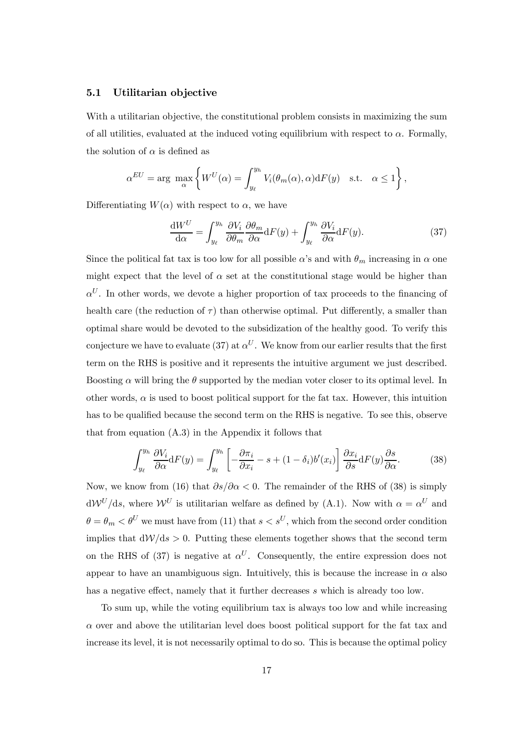#### 5.1 Utilitarian objective

With a utilitarian objective, the constitutional problem consists in maximizing the sum of all utilities, evaluated at the induced voting equilibrium with respect to  $\alpha$ . Formally, the solution of  $\alpha$  is defined as

$$
\alpha^{EU} = \arg \ \max_{\alpha} \left\{ W^U(\alpha) = \int_{y_\ell}^{y_h} V_i(\theta_m(\alpha), \alpha) dF(y) \text{ s.t. } \alpha \le 1 \right\},\
$$

Differentiating  $W(\alpha)$  with respect to  $\alpha$ , we have

$$
\frac{\mathrm{d}W^{U}}{\mathrm{d}\alpha} = \int_{y_{\ell}}^{y_{h}} \frac{\partial V_{i}}{\partial \theta_{m}} \frac{\partial \theta_{m}}{\partial \alpha} \mathrm{d}F(y) + \int_{y_{\ell}}^{y_{h}} \frac{\partial V_{i}}{\partial \alpha} \mathrm{d}F(y). \tag{37}
$$

Since the political fat tax is too low for all possible  $\alpha$ 's and with  $\theta_m$  increasing in  $\alpha$  one might expect that the level of  $\alpha$  set at the constitutional stage would be higher than  $\alpha^{U}$ . In other words, we devote a higher proportion of tax proceeds to the financing of health care (the reduction of  $\tau$ ) than otherwise optimal. Put differently, a smaller than optimal share would be devoted to the subsidization of the healthy good. To verify this conjecture we have to evaluate (37) at  $\alpha^U$ . We know from our earlier results that the first term on the RHS is positive and it represents the intuitive argument we just described. Boosting  $\alpha$  will bring the  $\theta$  supported by the median voter closer to its optimal level. In other words,  $\alpha$  is used to boost political support for the fat tax. However, this intuition has to be qualified because the second term on the RHS is negative. To see this, observe that from equation  $(A.3)$  in the Appendix it follows that

$$
\int_{y_{\ell}}^{y_h} \frac{\partial V_i}{\partial \alpha} dF(y) = \int_{y_{\ell}}^{y_h} \left[ -\frac{\partial \pi_i}{\partial x_i} - s + (1 - \delta_i) b'(x_i) \right] \frac{\partial x_i}{\partial s} dF(y) \frac{\partial s}{\partial \alpha}.
$$
 (38)

Now, we know from (16) that  $\partial s/\partial \alpha < 0$ . The remainder of the RHS of (38) is simply  $dW^{U}/ds$ , where  $W^{U}$  is utilitarian welfare as defined by (A.1). Now with  $\alpha = \alpha^{U}$  and  $\theta = \theta_m < \theta^U$  we must have from (11) that  $s < s^U$ , which from the second order condition implies that  $d\mathcal{W}/ds > 0$ . Putting these elements together shows that the second term on the RHS of (37) is negative at  $\alpha^U$ . Consequently, the entire expression does not appear to have an unambiguous sign. Intuitively, this is because the increase in  $\alpha$  also has a negative effect, namely that it further decreases s which is already too low.

To sum up, while the voting equilibrium tax is always too low and while increasing  $\alpha$  over and above the utilitarian level does boost political support for the fat tax and increase its level, it is not necessarily optimal to do so. This is because the optimal policy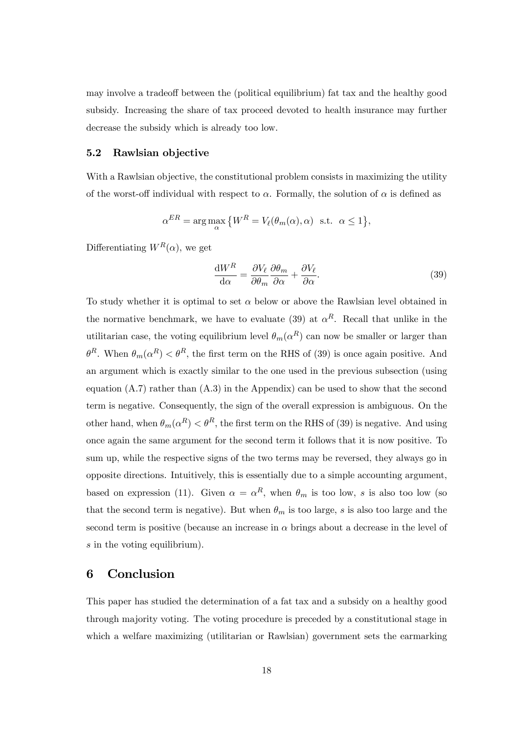may involve a tradeoff between the (political equilibrium) fat tax and the healthy good subsidy. Increasing the share of tax proceed devoted to health insurance may further decrease the subsidy which is already too low.

#### 5.2 Rawlsian objective

With a Rawlsian objective, the constitutional problem consists in maximizing the utility of the worst-off individual with respect to  $\alpha$ . Formally, the solution of  $\alpha$  is defined as

$$
\alpha^{ER} = \arg\max_{\alpha} \{ W^R = V_\ell(\theta_m(\alpha), \alpha) \text{ s.t. } \alpha \le 1 \},
$$

Differentiating  $W^R(\alpha)$ , we get

$$
\frac{\mathrm{d}W^R}{\mathrm{d}\alpha} = \frac{\partial V_\ell}{\partial \theta_m} \frac{\partial \theta_m}{\partial \alpha} + \frac{\partial V_\ell}{\partial \alpha}.\tag{39}
$$

To study whether it is optimal to set  $\alpha$  below or above the Rawlsian level obtained in the normative benchmark, we have to evaluate (39) at  $\alpha^R$ . Recall that unlike in the utilitarian case, the voting equilibrium level  $\theta_m(\alpha^R)$  can now be smaller or larger than  $\theta^R$ . When  $\theta_m(\alpha^R) < \theta^R$ , the first term on the RHS of (39) is once again positive. And an argument which is exactly similar to the one used in the previous subsection (using equation  $(A.7)$  rather than  $(A.3)$  in the Appendix) can be used to show that the second term is negative. Consequently, the sign of the overall expression is ambiguous. On the other hand, when  $\theta_m(\alpha^R) < \theta^R$ , the first term on the RHS of (39) is negative. And using once again the same argument for the second term it follows that it is now positive. To sum up, while the respective signs of the two terms may be reversed, they always go in opposite directions. Intuitively, this is essentially due to a simple accounting argument, based on expression (11). Given  $\alpha = \alpha^R$ , when  $\theta_m$  is too low, s is also too low (so that the second term is negative). But when  $\theta_m$  is too large, *s* is also too large and the second term is positive (because an increase in  $\alpha$  brings about a decrease in the level of  $\tilde{s}$  in the voting equilibrium).

# 6 Conclusion

This paper has studied the determination of a fat tax and a subsidy on a healthy good through majority voting. The voting procedure is preceded by a constitutional stage in which a welfare maximizing (utilitarian or Rawlsian) government sets the earmarking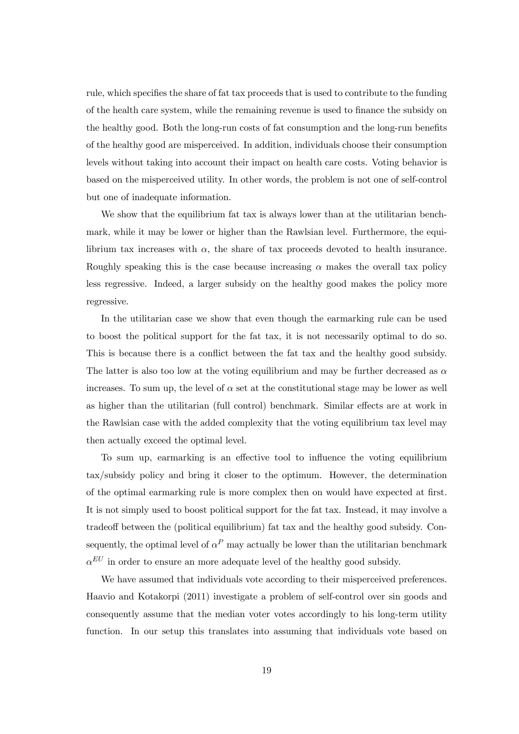rule, which specifies the share of fat tax proceeds that is used to contribute to the funding of the health care system, while the remaining revenue is used to finance the subsidy on the healthy good. Both the long-run costs of fat consumption and the long-run benefits of the healthy good are misperceived. In addition, individuals choose their consumption levels without taking into account their impact on health care costs. Voting behavior is based on the misperceived utility. In other words, the problem is not one of self-control but one of inadequate information.

We show that the equilibrium fat tax is always lower than at the utilitarian benchmark, while it may be lower or higher than the Rawlsian level. Furthermore, the equilibrium tax increases with  $\alpha$ , the share of tax proceeds devoted to health insurance. Roughly speaking this is the case because increasing  $\alpha$  makes the overall tax policy less regressive. Indeed, a larger subsidy on the healthy good makes the policy more regressive.

In the utilitarian case we show that even though the earmarking rule can be used to boost the political support for the fat tax, it is not necessarily optimal to do so. This is because there is a conflict between the fat tax and the healthy good subsidy. The latter is also too low at the voting equilibrium and may be further decreased as  $\alpha$ increases. To sum up, the level of  $\alpha$  set at the constitutional stage may be lower as well as higher than the utilitarian (full control) benchmark. Similar effects are at work in the Rawlsian case with the added complexity that the voting equilibrium tax level may then actually exceed the optimal level.

To sum up, earmarking is an effective tool to influence the voting equilibrium tax/subsidy policy and bring it closer to the optimum. However, the determination of the optimal earmarking rule is more complex then on would have expected at first. It is not simply used to boost political support for the fat tax. Instead, it may involve a tradeoff between the (political equilibrium) fat tax and the healthy good subsidy. Consequently, the optimal level of  $\alpha^P$  may actually be lower than the utilitarian benchmark  $\alpha^{EU}$  in order to ensure an more adequate level of the healthy good subsidy.

We have assumed that individuals vote according to their misperceived preferences. Haavio and Kotakorpi (2011) investigate a problem of self-control over sin goods and consequently assume that the median voter votes accordingly to his long-term utility function. In our setup this translates into assuming that individuals vote based on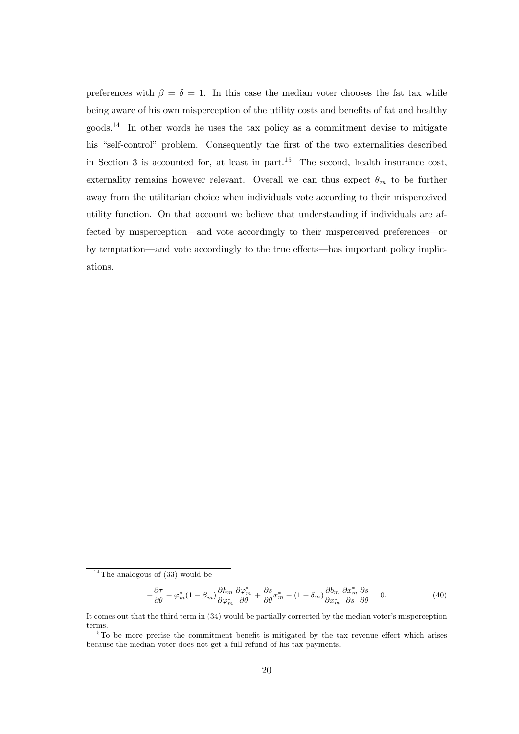preferences with  $\beta = \delta = 1$ . In this case the median voter chooses the fat tax while being aware of his own misperception of the utility costs and benefits of fat and healthy goods.<sup>14</sup> In other words he uses the tax policy as a commitment devise to mitigate his "self-control" problem. Consequently the first of the two externalities described in Section 3 is accounted for, at least in part.<sup>15</sup> The second, health insurance cost, externality remains however relevant. Overall we can thus expect  $\theta_m$  to be further away from the utilitarian choice when individuals vote according to their misperceived utility function. On that account we believe that understanding if individuals are affected by misperception–and vote accordingly to their misperceived preferences–or by temptation–and vote accordingly to the true effects–has important policy implications.

$$
-\frac{\partial \tau}{\partial \theta} - \varphi_m^* (1 - \beta_m) \frac{\partial h_m}{\partial \varphi_m^*} \frac{\partial \varphi_m^*}{\partial \theta} + \frac{\partial s}{\partial \theta} x_m^* - (1 - \delta_m) \frac{\partial b_m}{\partial x_m^*} \frac{\partial x_m^*}{\partial s} \frac{\partial s}{\partial \theta} = 0.
$$
 (40)

 $14$ The analogous of (33) would be

It comes out that the third term in (34) would be partially corrected by the median voter's misperception terms.

 $15$ To be more precise the commitment benefit is mitigated by the tax revenue effect which arises because the median voter does not get a full refund of his tax payments.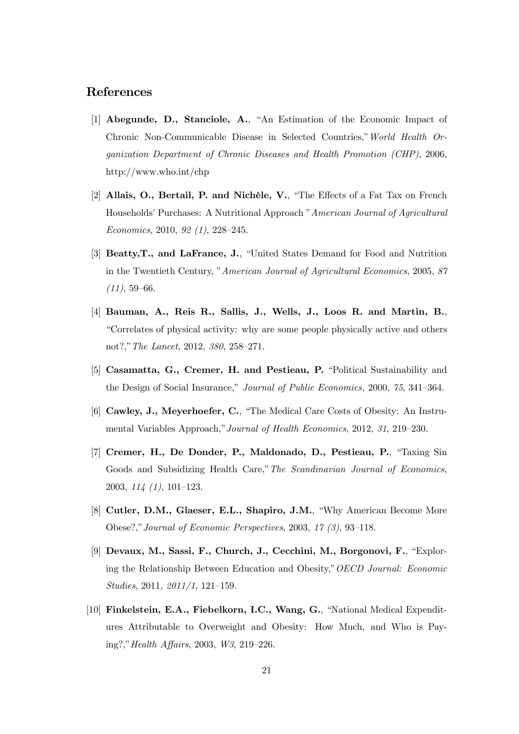# References

- [1] Abegunde, D., Stanciole, A., "An Estimation of the Economic Impact of Chronic Non-Communicable Disease in Selected Countries,"World Health Organization Department of Chronic Diseases and Health Promotion (CHP), 2006, http://www.who.int/chp
- [2] Allais, O., Bertail, P. and Nichèle, V., "The Effects of a Fat Tax on French Households' Purchases: A Nutritional Approach "American Journal of Agricultural Economics, 2010, 92 (1), 228—245.
- [3] Beatty,T., and LaFrance, J., "United States Demand for Food and Nutrition in the Twentieth Century, "American Journal of Agricultural Economics, 2005, 87  $(11), 59-66.$
- [4] Bauman, A., Reis R., Sallis, J., Wells, J., Loos R. and Martin, B., "Correlates of physical activity: why are some people physically active and others not?,"The Lancet, 2012, 380, 258—271.
- [5] Casamatta, G., Cremer, H. and Pestieau, P. "Political Sustainability and the Design of Social Insurance," Journal of Public Economics, 2000, 75, 341—364.
- [6] Cawley, J., Meyerhoefer, C., "The Medical Care Costs of Obesity: An Instrumental Variables Approach,"Journal of Health Economics, 2012, 31, 219—230.
- [7] Cremer, H., De Donder, P., Maldonado, D., Pestieau, P., "Taxing Sin Goods and Subsidizing Health Care," The Scandinavian Journal of Economics, 2003, 114 (1), 101—123.
- [8] Cutler, D.M., Glaeser, E.L., Shapiro, J.M., "Why American Become More Obese?,"Journal of Economic Perspectives, 2003, 17 (3), 93—118.
- [9] Devaux, M., Sassi, F., Church, J., Cecchini, M., Borgonovi, F., "Exploring the Relationship Between Education and Obesity,"OECD Journal: Economic Studies, 2011, 2011/1, 121—159.
- [10] Finkelstein, E.A., Fiebelkorn, I.C., Wang, G., "National Medical Expenditures Attributable to Overweight and Obesity: How Much, and Who is Paying?,"Health Affairs, 2003, W3, 219—226.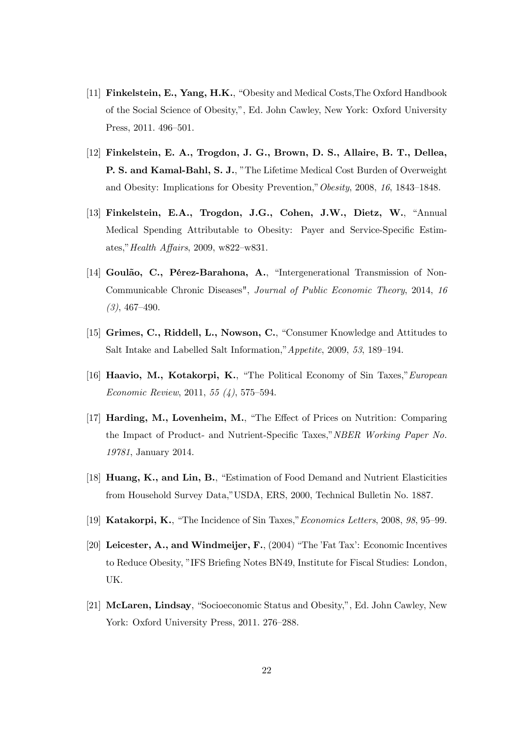- [11] Finkelstein, E., Yang, H.K., "Obesity and Medical Costs,The Oxford Handbook of the Social Science of Obesity,", Ed. John Cawley, New York: Oxford University Press, 2011. 496—501.
- [12] Finkelstein, E. A., Trogdon, J. G., Brown, D. S., Allaire, B. T., Dellea, P. S. and Kamal-Bahl, S. J., "The Lifetime Medical Cost Burden of Overweight and Obesity: Implications for Obesity Prevention,"Obesity, 2008, 16, 1843—1848.
- [13] Finkelstein, E.A., Trogdon, J.G., Cohen, J.W., Dietz, W., "Annual Medical Spending Attributable to Obesity: Payer and Service-Specific Estimates,"Health Affairs, 2009, w822—w831.
- [14] Goulão, C., Pérez-Barahona, A., "Intergenerational Transmission of Non-Communicable Chronic Diseases", Journal of Public Economic Theory, 2014, 16  $(3), 467 - 490.$
- [15] Grimes, C., Riddell, L., Nowson, C., "Consumer Knowledge and Attitudes to Salt Intake and Labelled Salt Information,"Appetite, 2009, 53, 189—194.
- [16] Haavio, M., Kotakorpi, K., "The Political Economy of Sin Taxes," European Economic Review, 2011, 55 (4), 575—594.
- [17] Harding, M., Lovenheim, M., "The Effect of Prices on Nutrition: Comparing the Impact of Product- and Nutrient-Specific Taxes,"NBER Working Paper No. 19781, January 2014.
- [18] Huang, K., and Lin, B., "Estimation of Food Demand and Nutrient Elasticities from Household Survey Data,"USDA, ERS, 2000, Technical Bulletin No. 1887.
- [19] Katakorpi, K., "The Incidence of Sin Taxes,"Economics Letters, 2008, 98, 95—99.
- [20] Leicester, A., and Windmeijer, F., (2004) "The 'Fat Tax': Economic Incentives to Reduce Obesity, "IFS Briefing Notes BN49, Institute for Fiscal Studies: London, UK.
- [21] McLaren, Lindsay, "Socioeconomic Status and Obesity,", Ed. John Cawley, New York: Oxford University Press, 2011. 276—288.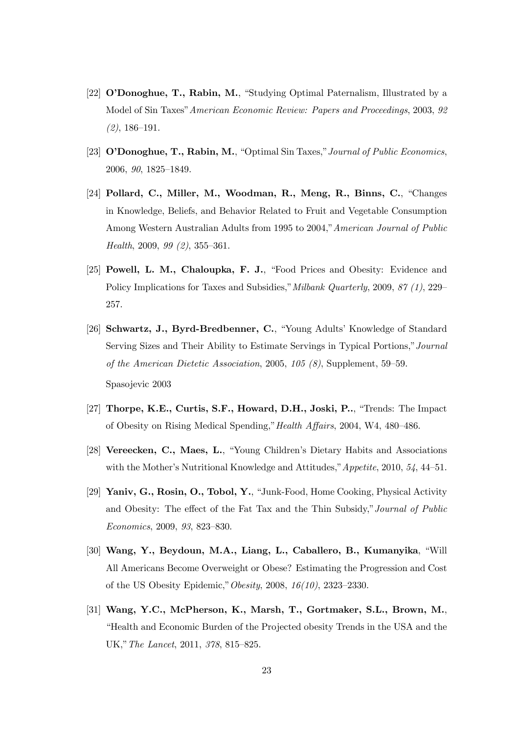- [22] O'Donoghue, T., Rabin, M., "Studying Optimal Paternalism, Illustrated by a Model of Sin Taxes"American Economic Review: Papers and Proceedings, 2003, 92 (2), 186—191.
- [23] O'Donoghue, T., Rabin, M., "Optimal Sin Taxes,"Journal of Public Economics, 2006, 90, 1825—1849.
- [24] Pollard, C., Miller, M., Woodman, R., Meng, R., Binns, C., "Changes in Knowledge, Beliefs, and Behavior Related to Fruit and Vegetable Consumption Among Western Australian Adults from 1995 to 2004,"American Journal of Public Health, 2009, 99 (2), 355—361.
- [25] Powell, L. M., Chaloupka, F. J., "Food Prices and Obesity: Evidence and Policy Implications for Taxes and Subsidies,"Milbank Quarterly, 2009, 87 (1), 229— 257.
- [26] Schwartz, J., Byrd-Bredbenner, C., "Young Adults' Knowledge of Standard Serving Sizes and Their Ability to Estimate Servings in Typical Portions,"Journal of the American Dietetic Association, 2005, 105 (8), Supplement, 59—59. Spasojevic 2003
- [27] Thorpe, K.E., Curtis, S.F., Howard, D.H., Joski, P.., "Trends: The Impact of Obesity on Rising Medical Spending,"Health Affairs, 2004, W4, 480—486.
- [28] Vereecken, C., Maes, L., "Young Children's Dietary Habits and Associations with the Mother's Nutritional Knowledge and Attitudes," *Appetite*, 2010, 54, 44–51.
- [29] Yaniv, G., Rosin, O., Tobol, Y., "Junk-Food, Home Cooking, Physical Activity and Obesity: The effect of the Fat Tax and the Thin Subsidy,"Journal of Public Economics, 2009, 93, 823—830.
- [30] Wang, Y., Beydoun, M.A., Liang, L., Caballero, B., Kumanyika, "Will All Americans Become Overweight or Obese? Estimating the Progression and Cost of the US Obesity Epidemic,"Obesity, 2008, 16(10), 2323—2330.
- [31] Wang, Y.C., McPherson, K., Marsh, T., Gortmaker, S.L., Brown, M., "Health and Economic Burden of the Projected obesity Trends in the USA and the UK,"The Lancet, 2011, 378, 815—825.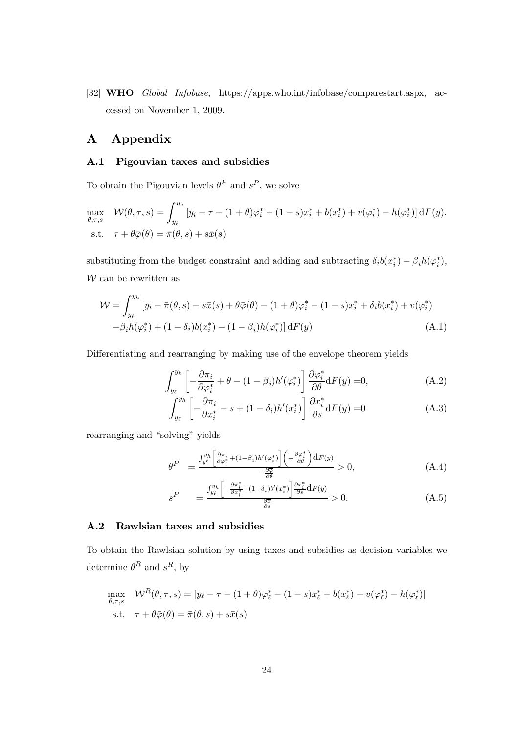[32] WHO Global Infobase, https://apps.who.int/infobase/comparestart.aspx, accessed on November 1, 2009.

### A Appendix

#### A.1 Pigouvian taxes and subsidies

To obtain the Pigouvian levels  $\theta^P$  and  $s^P$ , we solve

$$
\max_{\theta,\tau,s} \quad \mathcal{W}(\theta,\tau,s) = \int_{y_{\ell}}^{y_h} \left[ y_i - \tau - (1+\theta)\varphi_i^* - (1-s)x_i^* + b(x_i^*) + v(\varphi_i^*) - h(\varphi_i^*) \right] dF(y).
$$
\ns.t.

\n
$$
\tau + \theta \bar{\varphi}(\theta) = \bar{\pi}(\theta,s) + s\bar{x}(s)
$$

substituting from the budget constraint and adding and subtracting  $\delta_i b(x_i^*) - \beta_i h(\varphi_i^*),$  $W$  can be rewritten as

$$
\mathcal{W} = \int_{y_{\ell}}^{y_h} \left[ y_i - \bar{\pi}(\theta, s) - s\bar{x}(s) + \theta\bar{\varphi}(\theta) - (1 + \theta)\varphi_i^* - (1 - s)x_i^* + \delta_i b(x_i^*) + v(\varphi_i^*) \right] - \beta_i h(\varphi_i^*) + (1 - \delta_i) b(x_i^*) - (1 - \beta_i) h(\varphi_i^*) \right] dF(y)
$$
\n(A.1)

Differentiating and rearranging by making use of the envelope theorem yields

$$
\int_{y_{\ell}}^{y_h} \left[ -\frac{\partial \pi_i}{\partial \varphi_i^*} + \theta - (1 - \beta_i) h'(\varphi_i^*) \right] \frac{\partial \varphi_i^*}{\partial \theta} dF(y) = 0, \tag{A.2}
$$

$$
\int_{y_{\ell}}^{y_h} \left[ -\frac{\partial \pi_i}{\partial x_i^*} - s + (1 - \delta_i) h'(x_i^*) \right] \frac{\partial x_i^*}{\partial s} dF(y) = 0 \tag{A.3}
$$

rearranging and "solving" yields

$$
\theta^P = \frac{\int_{y^\ell}^{y_h} \left[ \frac{\partial \pi_i}{\partial \varphi_i^*} + (1 - \beta_i) h'(\varphi_i^*) \right] \left( -\frac{\partial \varphi_i^*}{\partial \theta} \right) dF(y)}{-\frac{\partial \overline{\varphi}}{\partial \theta}} > 0, \tag{A.4}
$$

$$
s^P = \frac{\int_{y_\ell}^{y_h} \left[ -\frac{\partial \pi_i^*}{\partial x_i^*} + (1 - \delta_i) b'(x_i^*) \right] \frac{\partial x_i^*}{\partial s} dF(y)}{\frac{\partial \pi}{\partial s}} > 0.
$$
 (A.5)

#### A.2 Rawlsian taxes and subsidies

To obtain the Rawlsian solution by using taxes and subsidies as decision variables we determine  $\theta^R$  and  $s^R$ , by

$$
\max_{\theta,\tau,s} \mathcal{W}^R(\theta,\tau,s) = [y_\ell - \tau - (1+\theta)\varphi_\ell^* - (1-s)x_\ell^* + b(x_\ell^*) + v(\varphi_\ell^*) - h(\varphi_\ell^*)]
$$
  
s.t.  $\tau + \theta\bar{\varphi}(\theta) = \bar{\pi}(\theta,s) + s\bar{x}(s)$